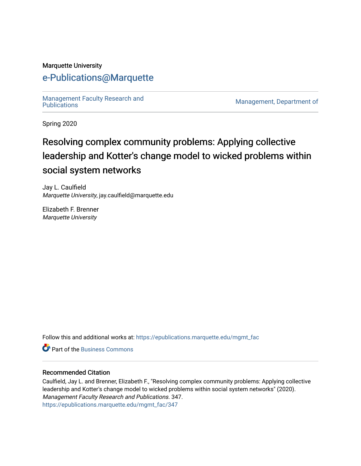#### Marquette University

## [e-Publications@Marquette](https://epublications.marquette.edu/)

Management Faculty Research and<br>Publications

Management, Department of

Spring 2020

# Resolving complex community problems: Applying collective leadership and Kotter's change model to wicked problems within social system networks

Jay L. Caulfield Marquette University, jay.caulfield@marquette.edu

Elizabeth F. Brenner Marquette University

Follow this and additional works at: [https://epublications.marquette.edu/mgmt\\_fac](https://epublications.marquette.edu/mgmt_fac?utm_source=epublications.marquette.edu%2Fmgmt_fac%2F347&utm_medium=PDF&utm_campaign=PDFCoverPages) 

**C** Part of the [Business Commons](http://network.bepress.com/hgg/discipline/622?utm_source=epublications.marquette.edu%2Fmgmt_fac%2F347&utm_medium=PDF&utm_campaign=PDFCoverPages)

#### Recommended Citation

Caulfield, Jay L. and Brenner, Elizabeth F., "Resolving complex community problems: Applying collective leadership and Kotter's change model to wicked problems within social system networks" (2020). Management Faculty Research and Publications. 347. [https://epublications.marquette.edu/mgmt\\_fac/347](https://epublications.marquette.edu/mgmt_fac/347?utm_source=epublications.marquette.edu%2Fmgmt_fac%2F347&utm_medium=PDF&utm_campaign=PDFCoverPages)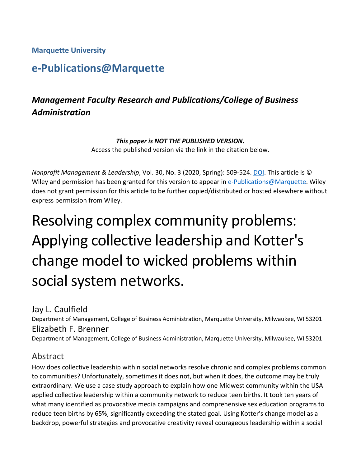**Marquette University**

# **e-Publications@Marquette**

## *Management Faculty Research and Publications/College of Business Administration*

#### *This paper is NOT THE PUBLISHED VERSION***.**

Access the published version via the link in the citation below.

*Nonprofit Management & Leadership*, Vol. 30, No. 3 (2020, Spring): 509-524[. DOI.](https://doi.org/10.1002/nml.21399) This article is © Wiley and permission has been granted for this version to appear in [e-Publications@Marquette.](http://epublications.marquette.edu/) Wiley does not grant permission for this article to be further copied/distributed or hosted elsewhere without express permission from Wiley.

# Resolving complex community problems: Applying collective leadership and Kotter's change model to wicked problems within social system networks.

## Jay L. Caulfield

Department of Management, College of Business Administration, Marquette University, Milwaukee, WI 53201 Elizabeth F. Brenner

Department of Management, College of Business Administration, Marquette University, Milwaukee, WI 53201

## Abstract

How does collective leadership within social networks resolve chronic and complex problems common to communities? Unfortunately, sometimes it does not, but when it does, the outcome may be truly extraordinary. We use a case study approach to explain how one Midwest community within the USA applied collective leadership within a community network to reduce teen births. It took ten years of what many identified as provocative media campaigns and comprehensive sex education programs to reduce teen births by 65%, significantly exceeding the stated goal. Using Kotter's change model as a backdrop, powerful strategies and provocative creativity reveal courageous leadership within a social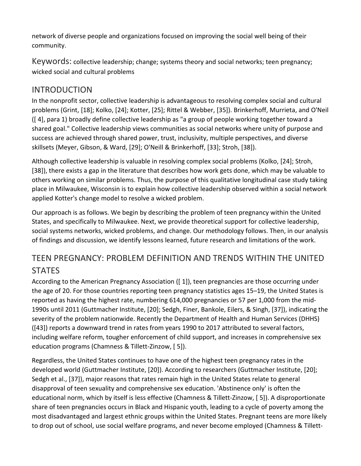network of diverse people and organizations focused on improving the social well being of their community.

Keywords: collective leadership; change; systems theory and social networks; teen pregnancy; wicked social and cultural problems

## INTRODUCTION

In the nonprofit sector, collective leadership is advantageous to resolving complex social and cultural problems (Grint, [18]; Kolko, [24]; Kotter, [25]; Rittel & Webber, [35]). Brinkerhoff, Murrieta, and O'Neil ([ 4], para 1) broadly define collective leadership as "a group of people working together toward a shared goal." Collective leadership views communities as social networks where unity of purpose and success are achieved through shared power, trust, inclusivity, multiple perspectives, and diverse skillsets (Meyer, Gibson, & Ward, [29]; O'Neill & Brinkerhoff, [33]; Stroh, [38]).

Although collective leadership is valuable in resolving complex social problems (Kolko, [24]; Stroh, [38]), there exists a gap in the literature that describes how work gets done, which may be valuable to others working on similar problems. Thus, the purpose of this qualitative longitudinal case study taking place in Milwaukee, Wisconsin is to explain how collective leadership observed within a social network applied Kotter's change model to resolve a wicked problem.

Our approach is as follows. We begin by describing the problem of teen pregnancy within the United States, and specifically to Milwaukee. Next, we provide theoretical support for collective leadership, social systems networks, wicked problems, and change. Our methodology follows. Then, in our analysis of findings and discussion, we identify lessons learned, future research and limitations of the work.

## TEEN PREGNANCY: PROBLEM DEFINITION AND TRENDS WITHIN THE UNITED **STATES**

According to the American Pregnancy Association ([ 1]), teen pregnancies are those occurring under the age of 20. For those countries reporting teen pregnancy statistics ages 15–19, the United States is reported as having the highest rate, numbering 614,000 pregnancies or 57 per 1,000 from the mid-1990s until 2011 (Guttmacher Institute, [20]; Sedgh, Finer, Bankole, Eilers, & Singh, [37]), indicating the severity of the problem nationwide. Recently the Department of Health and Human Services (DHHS) ([43]) reports a downward trend in rates from years 1990 to 2017 attributed to several factors, including welfare reform, tougher enforcement of child support, and increases in comprehensive sex education programs (Chamness & Tillett-Zinzow, [ 5]).

Regardless, the United States continues to have one of the highest teen pregnancy rates in the developed world (Guttmacher Institute, [20]). According to researchers (Guttmacher Institute, [20]; Sedgh et al., [37]), major reasons that rates remain high in the United States relate to general disapproval of teen sexuality and comprehensive sex education. 'Abstinence only' is often the educational norm, which by itself is less effective (Chamness & Tillett-Zinzow, [ 5]). A disproportionate share of teen pregnancies occurs in Black and Hispanic youth, leading to a cycle of poverty among the most disadvantaged and largest ethnic groups within the United States. Pregnant teens are more likely to drop out of school, use social welfare programs, and never become employed (Chamness & Tillett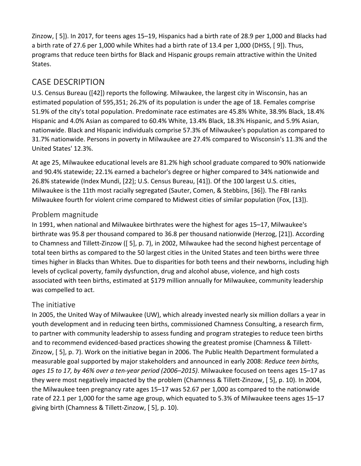Zinzow, [ 5]). In 2017, for teens ages 15–19, Hispanics had a birth rate of 28.9 per 1,000 and Blacks had a birth rate of 27.6 per 1,000 while Whites had a birth rate of 13.4 per 1,000 (DHSS, [ 9]). Thus, programs that reduce teen births for Black and Hispanic groups remain attractive within the United States.

## CASE DESCRIPTION

U.S. Census Bureau ([42]) reports the following. Milwaukee, the largest city in Wisconsin, has an estimated population of 595,351; 26.2% of its population is under the age of 18. Females comprise 51.9% of the city's total population. Predominate race estimates are 45.8% White, 38.9% Black, 18.4% Hispanic and 4.0% Asian as compared to 60.4% White, 13.4% Black, 18.3% Hispanic, and 5.9% Asian, nationwide. Black and Hispanic individuals comprise 57.3% of Milwaukee's population as compared to 31.7% nationwide. Persons in poverty in Milwaukee are 27.4% compared to Wisconsin's 11.3% and the United States' 12.3%.

At age 25, Milwaukee educational levels are 81.2% high school graduate compared to 90% nationwide and 90.4% statewide; 22.1% earned a bachelor's degree or higher compared to 34% nationwide and 26.8% statewide (Index Mundi, [22]; U.S. Census Bureau, [41]). Of the 100 largest U.S. cities, Milwaukee is the 11th most racially segregated (Sauter, Comen, & Stebbins, [36]). The FBI ranks Milwaukee fourth for violent crime compared to Midwest cities of similar population (Fox, [13]).

### Problem magnitude

In 1991, when national and Milwaukee birthrates were the highest for ages 15–17, Milwaukee's birthrate was 95.8 per thousand compared to 36.8 per thousand nationwide (Herzog, [21]). According to Chamness and Tillett-Zinzow ([ 5], p. 7), in 2002, Milwaukee had the second highest percentage of total teen births as compared to the 50 largest cities in the United States and teen births were three times higher in Blacks than Whites. Due to disparities for both teens and their newborns, including high levels of cyclical poverty, family dysfunction, drug and alcohol abuse, violence, and high costs associated with teen births, estimated at \$179 million annually for Milwaukee, community leadership was compelled to act.

### The initiative

In 2005, the United Way of Milwaukee (UW), which already invested nearly six million dollars a year in youth development and in reducing teen births, commissioned Chamness Consulting, a research firm, to partner with community leadership to assess funding and program strategies to reduce teen births and to recommend evidenced-based practices showing the greatest promise (Chamness & Tillett-Zinzow, [ 5], p. 7). Work on the initiative began in 2006. The Public Health Department formulated a measurable goal supported by major stakeholders and announced in early 2008: *Reduce teen births, ages 15 to 17, by 46% over a ten‐year period (2006–2015)*. Milwaukee focused on teens ages 15–17 as they were most negatively impacted by the problem (Chamness & Tillett-Zinzow, [ 5], p. 10). In 2004, the Milwaukee teen pregnancy rate ages 15–17 was 52.67 per 1,000 as compared to the nationwide rate of 22.1 per 1,000 for the same age group, which equated to 5.3% of Milwaukee teens ages 15–17 giving birth (Chamness & Tillett-Zinzow, [ 5], p. 10).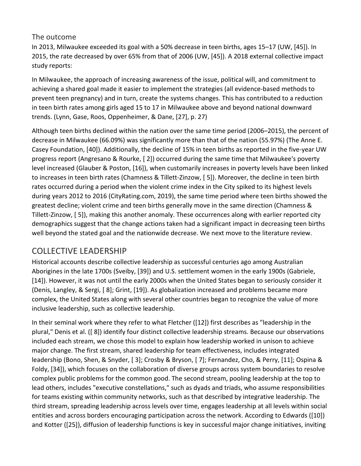#### The outcome

In 2013, Milwaukee exceeded its goal with a 50% decrease in teen births, ages 15–17 (UW, [45]). In 2015, the rate decreased by over 65% from that of 2006 (UW, [45]). A 2018 external collective impact study reports:

In Milwaukee, the approach of increasing awareness of the issue, political will, and commitment to achieving a shared goal made it easier to implement the strategies (all evidence-based methods to prevent teen pregnancy) and in turn, create the systems changes. This has contributed to a reduction in teen birth rates among girls aged 15 to 17 in Milwaukee above and beyond national downward trends. (Lynn, Gase, Roos, Oppenheimer, & Dane, [27], p. 27)

Although teen births declined within the nation over the same time period (2006–2015), the percent of decrease in Milwaukee (66.09%) was significantly more than that of the nation (55.97%) (The Anne E. Casey Foundation, [40]). Additionally, the decline of 15% in teen births as reported in the five-year UW progress report (Angresano & Rourke, [ 2]) occurred during the same time that Milwaukee's poverty level increased (Glauber & Poston, [16]), when customarily increases in poverty levels have been linked to increases in teen birth rates (Chamness & Tillett-Zinzow, [ 5]). Moreover, the decline in teen birth rates occurred during a period when the violent crime index in the City spiked to its highest levels during years 2012 to 2016 (CityRating.com, 2019), the same time period where teen births showed the greatest decline; violent crime and teen births generally move in the same direction (Chamness & Tillett-Zinzow, [ 5]), making this another anomaly. These occurrences along with earlier reported city demographics suggest that the change actions taken had a significant impact in decreasing teen births well beyond the stated goal and the nationwide decrease. We next move to the literature review.

## COLLECTIVE LEADERSHIP

Historical accounts describe collective leadership as successful centuries ago among Australian Aborigines in the late 1700s (Sveiby, [39]) and U.S. settlement women in the early 1900s (Gabriele, [14]). However, it was not until the early 2000s when the United States began to seriously consider it (Denis, Langley, & Sergi, [ 8]; Grint, [19]). As globalization increased and problems became more complex, the United States along with several other countries began to recognize the value of more inclusive leadership, such as collective leadership.

In their seminal work where they refer to what Fletcher ([12]) first describes as "leadership in the plural," Denis et al. ([ 8]) identify four distinct collective leadership streams. Because our observations included each stream, we chose this model to explain how leadership worked in unison to achieve major change. The first stream, shared leadership for team effectiveness, includes integrated leadership (Bono, Shen, & Snyder, [ 3]; Crosby & Bryson, [ 7]; Fernandez, Cho, & Perry, [11]; Ospina & Foldy, [34]), which focuses on the collaboration of diverse groups across system boundaries to resolve complex public problems for the common good. The second stream, pooling leadership at the top to lead others, includes "executive constellations," such as dyads and triads, who assume responsibilities for teams existing within community networks, such as that described by integrative leadership. The third stream, spreading leadership across levels over time, engages leadership at all levels within social entities and across borders encouraging participation across the network. According to Edwards ([10]) and Kotter ([25]), diffusion of leadership functions is key in successful major change initiatives, inviting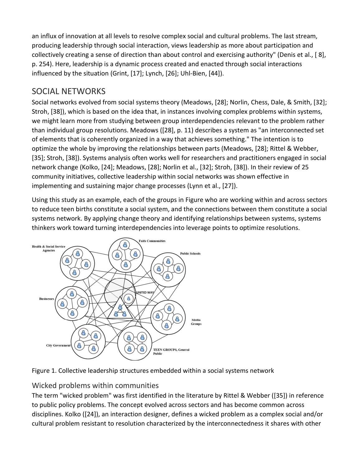an influx of innovation at all levels to resolve complex social and cultural problems. The last stream, producing leadership through social interaction, views leadership as more about participation and collectively creating a sense of direction than about control and exercising authority" (Denis et al., [ 8], p. 254). Here, leadership is a dynamic process created and enacted through social interactions influenced by the situation (Grint, [17]; Lynch, [26]; Uhl-Bien, [44]).

## SOCIAL NETWORKS

Social networks evolved from social systems theory (Meadows, [28]; Norlin, Chess, Dale, & Smith, [32]; Stroh, [38]), which is based on the idea that, in instances involving complex problems within systems, we might learn more from studying between group interdependencies relevant to the problem rather than individual group resolutions. Meadows ([28], p. 11) describes a system as "an interconnected set of elements that is coherently organized in a way that achieves something." The intention is to optimize the whole by improving the relationships between parts (Meadows, [28]; Rittel & Webber, [35]; Stroh, [38]). Systems analysis often works well for researchers and practitioners engaged in social network change (Kolko, [24]; Meadows, [28]; Norlin et al., [32]; Stroh, [38]). In their review of 25 community initiatives, collective leadership within social networks was shown effective in implementing and sustaining major change processes (Lynn et al., [27]).

Using this study as an example, each of the groups in Figure who are working within and across sectors to reduce teen births constitute a social system, and the connections between them constitute a social systems network. By applying change theory and identifying relationships between systems, systems thinkers work toward turning interdependencies into leverage points to optimize resolutions.





## Wicked problems within communities

The term "wicked problem" was first identified in the literature by Rittel & Webber ([35]) in reference to public policy problems. The concept evolved across sectors and has become common across disciplines. Kolko ([24]), an interaction designer, defines a wicked problem as a complex social and/or cultural problem resistant to resolution characterized by the interconnectedness it shares with other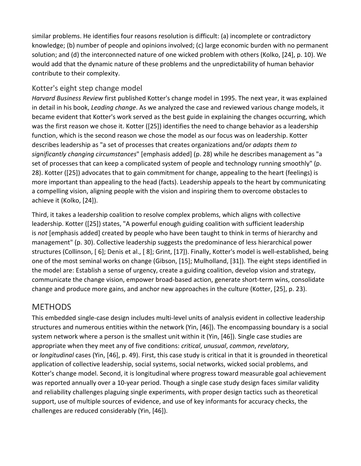similar problems. He identifies four reasons resolution is difficult: (a) incomplete or contradictory knowledge; (b) number of people and opinions involved; (c) large economic burden with no permanent solution; and (d) the interconnected nature of one wicked problem with others (Kolko, [24], p. 10). We would add that the dynamic nature of these problems and the unpredictability of human behavior contribute to their complexity.

## Kotter's eight step change model

*Harvard Business Review* first published Kotter's change model in 1995. The next year, it was explained in detail in his book, *Leading change*. As we analyzed the case and reviewed various change models, it became evident that Kotter's work served as the best guide in explaining the changes occurring, which was the first reason we chose it. Kotter ([25]) identifies the need to change behavior as a leadership function, which is the second reason we chose the model as our focus was on leadership. Kotter describes leadership as "a set of processes that creates organizations and/or *adapts them to significantly changing circumstances*" [emphasis added] (p. 28) while he describes management as "a set of processes that can keep a complicated system of people and technology running smoothly" (p. 28). Kotter ([25]) advocates that to gain commitment for change, appealing to the heart (feelings) is more important than appealing to the head (facts). Leadership appeals to the heart by communicating a compelling vision, aligning people with the vision and inspiring them to overcome obstacles to achieve it (Kolko, [24]).

Third, it takes a leadership coalition to resolve complex problems, which aligns with collective leadership. Kotter ([25]) states, "A powerful enough guiding coalition with sufficient leadership is *not* [emphasis added] created by people who have been taught to think in terms of hierarchy and management" (p. 30). Collective leadership suggests the predominance of less hierarchical power structures (Collinson, [ 6]; Denis et al., [ 8]; Grint, [17]). Finally, Kotter's model is well-established, being one of the most seminal works on change (Gibson, [15]; Mulholland, [31]). The eight steps identified in the model are: Establish a sense of urgency, create a guiding coalition, develop vision and strategy, communicate the change vision, empower broad-based action, generate short-term wins, consolidate change and produce more gains, and anchor new approaches in the culture (Kotter, [25], p. 23).

## **METHODS**

This embedded single-case design includes multi-level units of analysis evident in collective leadership structures and numerous entities within the network (Yin, [46]). The encompassing boundary is a social system network where a person is the smallest unit within it (Yin, [46]). Single case studies are appropriate when they meet any of five conditions: *critical*, *unusual*, *common*, *revelatory*, or *longitudinal* cases (Yin, [46], p. 49). First, this case study is critical in that it is grounded in theoretical application of collective leadership, social systems, social networks, wicked social problems, and Kotter's change model. Second, it is longitudinal where progress toward measurable goal achievement was reported annually over a 10-year period. Though a single case study design faces similar validity and reliability challenges plaguing single experiments, with proper design tactics such as theoretical support, use of multiple sources of evidence, and use of key informants for accuracy checks, the challenges are reduced considerably (Yin, [46]).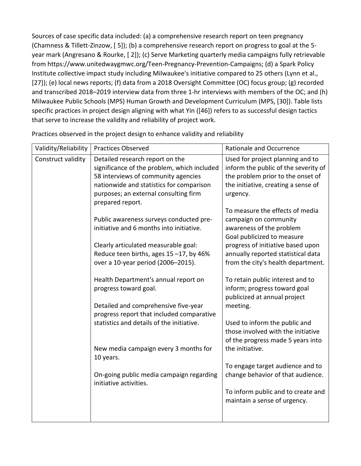Sources of case specific data included: (a) a comprehensive research report on teen pregnancy (Chamness & Tillett-Zinzow, [ 5]); (b) a comprehensive research report on progress to goal at the 5 year mark (Angresano & Rourke, [ 2]); (c) Serve Marketing quarterly media campaigns fully retrievable from https://www.unitedwaygmwc.org/Teen-Pregnancy-Prevention-Campaigns; (d) a Spark Policy Institute collective impact study including Milwaukee's initiative compared to 25 others (Lynn et al., [27]); (e) local news reports; (f) data from a 2018 Oversight Committee (OC) focus group; (g) recorded and transcribed 2018–2019 interview data from three 1-hr interviews with members of the OC; and (h) Milwaukee Public Schools (MPS) Human Growth and Development Curriculum (MPS, [30]). Table lists specific practices in project design aligning with what Yin ([46]) refers to as successful design tactics that serve to increase the validity and reliability of project work.

| Validity/Reliability | <b>Practices Observed</b>                                                                                                                                                                                                      | <b>Rationale and Occurrence</b>                                                                                                                                  |
|----------------------|--------------------------------------------------------------------------------------------------------------------------------------------------------------------------------------------------------------------------------|------------------------------------------------------------------------------------------------------------------------------------------------------------------|
| Construct validity   | Detailed research report on the<br>significance of the problem, which included<br>58 interviews of community agencies<br>nationwide and statistics for comparison<br>purposes; an external consulting firm<br>prepared report. | Used for project planning and to<br>inform the public of the severity of<br>the problem prior to the onset of<br>the initiative, creating a sense of<br>urgency. |
|                      | Public awareness surveys conducted pre-<br>initiative and 6 months into initiative.                                                                                                                                            | To measure the effects of media<br>campaign on community<br>awareness of the problem<br>Goal publicized to measure                                               |
|                      | Clearly articulated measurable goal:<br>Reduce teen births, ages 15-17, by 46%<br>over a 10-year period (2006-2015).                                                                                                           | progress of initiative based upon<br>annually reported statistical data<br>from the city's health department.                                                    |
|                      | Health Department's annual report on<br>progress toward goal.                                                                                                                                                                  | To retain public interest and to<br>inform; progress toward goal<br>publicized at annual project                                                                 |
|                      | Detailed and comprehensive five-year<br>progress report that included comparative                                                                                                                                              | meeting.                                                                                                                                                         |
|                      | statistics and details of the initiative.                                                                                                                                                                                      | Used to inform the public and<br>those involved with the initiative<br>of the progress made 5 years into                                                         |
|                      | New media campaign every 3 months for<br>10 years.                                                                                                                                                                             | the initiative.                                                                                                                                                  |
|                      | On-going public media campaign regarding<br>initiative activities.                                                                                                                                                             | To engage target audience and to<br>change behavior of that audience.                                                                                            |
|                      |                                                                                                                                                                                                                                | To inform public and to create and<br>maintain a sense of urgency.                                                                                               |
|                      |                                                                                                                                                                                                                                |                                                                                                                                                                  |

Practices observed in the project design to enhance validity and reliability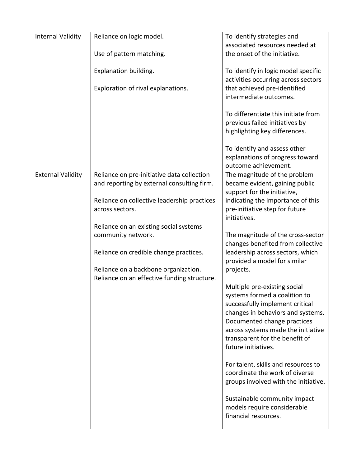| <b>Internal Validity</b> | Reliance on logic model.                    | To identify strategies and           |
|--------------------------|---------------------------------------------|--------------------------------------|
|                          |                                             | associated resources needed at       |
|                          | Use of pattern matching.                    | the onset of the initiative.         |
|                          |                                             |                                      |
|                          | Explanation building.                       | To identify in logic model specific  |
|                          |                                             | activities occurring across sectors  |
|                          | Exploration of rival explanations.          | that achieved pre-identified         |
|                          |                                             | intermediate outcomes.               |
|                          |                                             |                                      |
|                          |                                             | To differentiate this initiate from  |
|                          |                                             | previous failed initiatives by       |
|                          |                                             | highlighting key differences.        |
|                          |                                             |                                      |
|                          |                                             | To identify and assess other         |
|                          |                                             | explanations of progress toward      |
|                          |                                             | outcome achievement.                 |
| <b>External Validity</b> | Reliance on pre-initiative data collection  | The magnitude of the problem         |
|                          | and reporting by external consulting firm.  | became evident, gaining public       |
|                          |                                             | support for the initiative,          |
|                          | Reliance on collective leadership practices | indicating the importance of this    |
|                          | across sectors.                             | pre-initiative step for future       |
|                          |                                             | initiatives.                         |
|                          | Reliance on an existing social systems      |                                      |
|                          | community network.                          | The magnitude of the cross-sector    |
|                          |                                             | changes benefited from collective    |
|                          | Reliance on credible change practices.      | leadership across sectors, which     |
|                          |                                             | provided a model for similar         |
|                          | Reliance on a backbone organization.        | projects.                            |
|                          | Reliance on an effective funding structure. |                                      |
|                          |                                             | Multiple pre-existing social         |
|                          |                                             | systems formed a coalition to        |
|                          |                                             | successfully implement critical      |
|                          |                                             | changes in behaviors and systems.    |
|                          |                                             | Documented change practices          |
|                          |                                             | across systems made the initiative   |
|                          |                                             | transparent for the benefit of       |
|                          |                                             | future initiatives.                  |
|                          |                                             |                                      |
|                          |                                             | For talent, skills and resources to  |
|                          |                                             | coordinate the work of diverse       |
|                          |                                             | groups involved with the initiative. |
|                          |                                             |                                      |
|                          |                                             | Sustainable community impact         |
|                          |                                             | models require considerable          |
|                          |                                             | financial resources.                 |
|                          |                                             |                                      |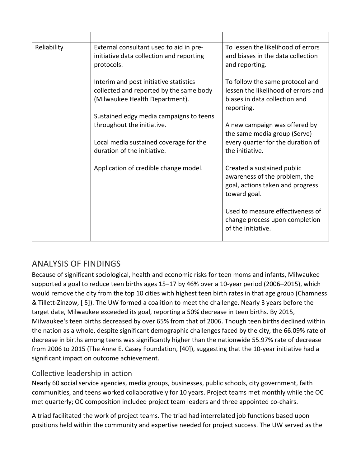| Reliability | External consultant used to aid in pre-<br>initiative data collection and reporting<br>protocols.                                              | To lessen the likelihood of errors<br>and biases in the data collection<br>and reporting.                             |
|-------------|------------------------------------------------------------------------------------------------------------------------------------------------|-----------------------------------------------------------------------------------------------------------------------|
|             | Interim and post initiative statistics<br>collected and reported by the same body<br>(Milwaukee Health Department).                            | To follow the same protocol and<br>lessen the likelihood of errors and<br>biases in data collection and<br>reporting. |
|             | Sustained edgy media campaigns to teens<br>throughout the initiative.<br>Local media sustained coverage for the<br>duration of the initiative. | A new campaign was offered by<br>the same media group (Serve)<br>every quarter for the duration of<br>the initiative. |
|             | Application of credible change model.                                                                                                          | Created a sustained public<br>awareness of the problem, the<br>goal, actions taken and progress<br>toward goal.       |
|             |                                                                                                                                                | Used to measure effectiveness of<br>change process upon completion<br>of the initiative.                              |

## ANALYSIS OF FINDINGS

Because of significant sociological, health and economic risks for teen moms and infants, Milwaukee supported a goal to reduce teen births ages 15–17 by 46% over a 10-year period (2006–2015), which would remove the city from the top 10 cities with highest teen birth rates in that age group (Chamness & Tillett-Zinzow, [ 5]). The UW formed a coalition to meet the challenge. Nearly 3 years before the target date, Milwaukee exceeded its goal, reporting a 50% decrease in teen births. By 2015, Milwaukee's teen births decreased by over 65% from that of 2006. Though teen births declined within the nation as a whole, despite significant demographic challenges faced by the city, the 66.09% rate of decrease in births among teens was significantly higher than the nationwide 55.97% rate of decrease from 2006 to 2015 (The Anne E. Casey Foundation, [40]), suggesting that the 10-year initiative had a significant impact on outcome achievement.

## Collective leadership in action

Nearly 60 **s**ocial service agencies, media groups, businesses, public schools, city government, faith communities, and teens worked collaboratively for 10 years. Project teams met monthly while the OC met quarterly; OC composition included project team leaders and three appointed co-chairs.

A triad facilitated the work of project teams. The triad had interrelated job functions based upon positions held within the community and expertise needed for project success. The UW served as the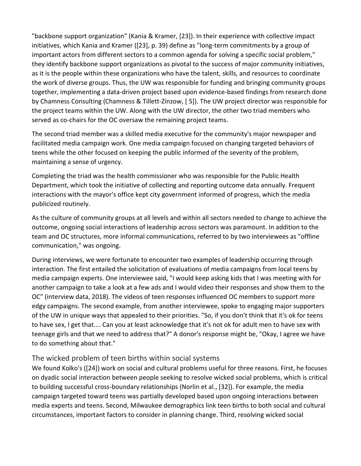"backbone support organization" (Kania & Kramer, [23]). In their experience with collective impact initiatives, which Kania and Kramer ([23], p. 39) define as "long-term commitments by a group of important actors from different sectors to a common agenda for solving a specific social problem," they identify backbone support organizations as pivotal to the success of major community initiatives, as it is the people within these organizations who have the talent, skills, and resources to coordinate the work of diverse groups. Thus, the UW was responsible for funding and bringing community groups together, implementing a data-driven project based upon evidence-based findings from research done by Chamness Consulting (Chamness & Tillett-Zinzow, [ 5]). The UW project director was responsible for the project teams within the UW. Along with the UW director, the other two triad members who served as co-chairs for the OC oversaw the remaining project teams.

The second triad member was a skilled media executive for the community's major newspaper and facilitated media campaign work. One media campaign focused on changing targeted behaviors of teens while the other focused on keeping the public informed of the severity of the problem, maintaining a sense of urgency.

Completing the triad was the health commissioner who was responsible for the Public Health Department, which took the initiative of collecting and reporting outcome data annually. Frequent interactions with the mayor's office kept city government informed of progress, which the media publicized routinely.

As the culture of community groups at all levels and within all sectors needed to change to achieve the outcome, ongoing social interactions of leadership across sectors was paramount. In addition to the team and OC structures, more informal communications, referred to by two interviewees as "offline communication," was ongoing.

During interviews, we were fortunate to encounter two examples of leadership occurring through interaction. The first entailed the solicitation of evaluations of media campaigns from local teens by media campaign experts. One interviewee said, "I would keep asking kids that I was meeting with for another campaign to take a look at a few ads and I would video their responses and show them to the OC" (interview data, 2018). The videos of teen responses influenced OC members to support more edgy campaigns. The second example, from another interviewee, spoke to engaging major supporters of the UW in unique ways that appealed to their priorities. "So, if you don't think that it's ok for teens to have sex, I get that.... Can you at least acknowledge that it's not ok for adult men to have sex with teenage girls and that we need to address that?" A donor's response might be, "Okay, I agree we have to do something about that."

#### The wicked problem of teen births within social systems

We found Kolko's ([24]) work on social and cultural problems useful for three reasons. First, he focuses on dyadic social interaction between people seeking to resolve wicked social problems, which is critical to building successful cross-boundary relationships (Norlin et al., [32]). For example, the media campaign targeted toward teens was partially developed based upon ongoing interactions between media experts and teens. Second, Milwaukee demographics link teen births to both social and cultural circumstances, important factors to consider in planning change. Third, resolving wicked social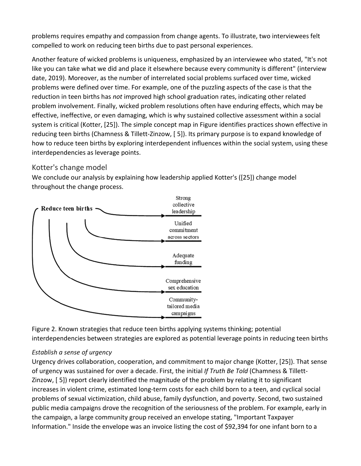problems requires empathy and compassion from change agents. To illustrate, two interviewees felt compelled to work on reducing teen births due to past personal experiences.

Another feature of wicked problems is uniqueness, emphasized by an interviewee who stated, "It's not like you can take what we did and place it elsewhere because every community is different" (interview date, 2019). Moreover, as the number of interrelated social problems surfaced over time, wicked problems were defined over time. For example, one of the puzzling aspects of the case is that the reduction in teen births has *not* improved high school graduation rates, indicating other related problem involvement. Finally, wicked problem resolutions often have enduring effects, which may be effective, ineffective, or even damaging, which is why sustained collective assessment within a social system is critical (Kotter, [25]). The simple concept map in Figure identifies practices shown effective in reducing teen births (Chamness & Tillett-Zinzow, [ 5]). Its primary purpose is to expand knowledge of how to reduce teen births by exploring interdependent influences within the social system, using these interdependencies as leverage points.

### Kotter's change model

We conclude our analysis by explaining how leadership applied Kotter's ([25]) change model throughout the change process.



Figure 2. Known strategies that reduce teen births applying systems thinking; potential interdependencies between strategies are explored as potential leverage points in reducing teen births

### *Establish a sense of urgency*

Urgency drives collaboration, cooperation, and commitment to major change (Kotter, [25]). That sense of urgency was sustained for over a decade. First, the initial *If Truth Be Told* (Chamness & Tillett-Zinzow, [ 5]) report clearly identified the magnitude of the problem by relating it to significant increases in violent crime, estimated long-term costs for each child born to a teen, and cyclical social problems of sexual victimization, child abuse, family dysfunction, and poverty. Second, two sustained public media campaigns drove the recognition of the seriousness of the problem. For example, early in the campaign, a large community group received an envelope stating, "Important Taxpayer Information." Inside the envelope was an invoice listing the cost of \$92,394 for one infant born to a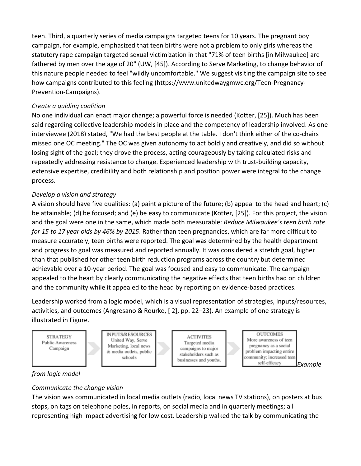teen. Third, a quarterly series of media campaigns targeted teens for 10 years. The pregnant boy campaign, for example, emphasized that teen births were not a problem to only girls whereas the statutory rape campaign targeted sexual victimization in that "71% of teen births [in Milwaukee] are fathered by men over the age of 20" (UW, [45]). According to Serve Marketing, to change behavior of this nature people needed to feel "wildly uncomfortable." We suggest visiting the campaign site to see how campaigns contributed to this feeling (https://www.unitedwaygmwc.org/Teen-Pregnancy-Prevention-Campaigns).

#### *Create a guiding coalition*

No one individual can enact major change; a powerful force is needed (Kotter, [25]). Much has been said regarding collective leadership models in place and the competency of leadership involved. As one interviewee (2018) stated, "We had the best people at the table. I don't think either of the co-chairs missed one OC meeting." The OC was given autonomy to act boldly and creatively, and did so without losing sight of the goal; they drove the process, acting courageously by taking calculated risks and repeatedly addressing resistance to change. Experienced leadership with trust-building capacity, extensive expertise, credibility and both relationship and position power were integral to the change process.

#### *Develop a vision and strategy*

A vision should have five qualities: (a) paint a picture of the future; (b) appeal to the head and heart; (c) be attainable; (d) be focused; and (e) be easy to communicate (Kotter, [25]). For this project, the vision and the goal were one in the same, which made both measurable: *Reduce Milwaukee's teen birth rate for 15 to 17 year olds by 46% by 2015*. Rather than teen pregnancies, which are far more difficult to measure accurately, teen births were reported. The goal was determined by the health department and progress to goal was measured and reported annually. It was considered a stretch goal, higher than that published for other teen birth reduction programs across the country but determined achievable over a 10-year period. The goal was focused and easy to communicate. The campaign appealed to the heart by clearly communicating the negative effects that teen births had on children and the community while it appealed to the head by reporting on evidence-based practices.

Leadership worked from a logic model, which is a visual representation of strategies, inputs/resources, activities, and outcomes (Angresano & Rourke, [ 2], pp. 22–23). An example of one strategy is illustrated in Figure.





*Example* 

#### *from logic model*

#### *Communicate the change vision*

The vision was communicated in local media outlets (radio, local news TV stations), on posters at bus stops, on tags on telephone poles, in reports, on social media and in quarterly meetings; all representing high impact advertising for low cost. Leadership walked the talk by communicating the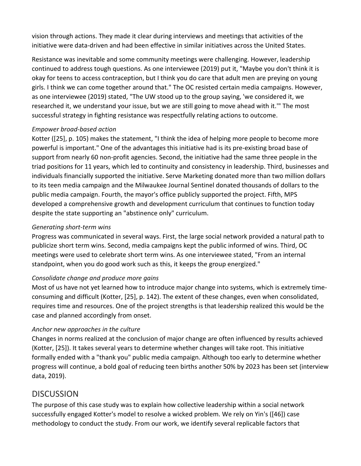vision through actions. They made it clear during interviews and meetings that activities of the initiative were data-driven and had been effective in similar initiatives across the United States.

Resistance was inevitable and some community meetings were challenging. However, leadership continued to address tough questions. As one interviewee (2019) put it, "Maybe you don't think it is okay for teens to access contraception, but I think you do care that adult men are preying on young girls. I think we can come together around that." The OC resisted certain media campaigns. However, as one interviewee (2019) stated, "The UW stood up to the group saying, 'we considered it, we researched it, we understand your issue, but we are still going to move ahead with it.'" The most successful strategy in fighting resistance was respectfully relating actions to outcome.

#### *Empower broad‐based action*

Kotter ([25], p. 105) makes the statement, "I think the idea of helping more people to become more powerful is important." One of the advantages this initiative had is its pre-existing broad base of support from nearly 60 non-profit agencies. Second, the initiative had the same three people in the triad positions for 11 years, which led to continuity and consistency in leadership. Third, businesses and individuals financially supported the initiative. Serve Marketing donated more than two million dollars to its teen media campaign and the Milwaukee Journal Sentinel donated thousands of dollars to the public media campaign. Fourth, the mayor's office publicly supported the project. Fifth, MPS developed a comprehensive growth and development curriculum that continues to function today despite the state supporting an "abstinence only" curriculum.

#### *Generating short‐term wins*

Progress was communicated in several ways. First, the large social network provided a natural path to publicize short term wins. Second, media campaigns kept the public informed of wins. Third, OC meetings were used to celebrate short term wins. As one interviewee stated, "From an internal standpoint, when you do good work such as this, it keeps the group energized."

#### *Consolidate change and produce more gains*

Most of us have not yet learned how to introduce major change into systems, which is extremely timeconsuming and difficult (Kotter, [25], p. 142). The extent of these changes, even when consolidated, requires time and resources. One of the project strengths is that leadership realized this would be the case and planned accordingly from onset.

#### *Anchor new approaches in the culture*

Changes in norms realized at the conclusion of major change are often influenced by results achieved (Kotter, [25]). It takes several years to determine whether changes will take root. This initiative formally ended with a "thank you" public media campaign. Although too early to determine whether progress will continue, a bold goal of reducing teen births another 50% by 2023 has been set (interview data, 2019).

## **DISCUSSION**

The purpose of this case study was to explain how collective leadership within a social network successfully engaged Kotter's model to resolve a wicked problem. We rely on Yin's ([46]) case methodology to conduct the study. From our work, we identify several replicable factors that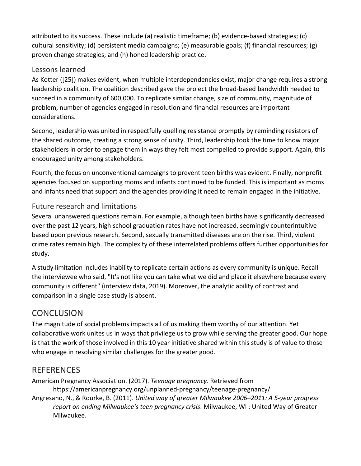attributed to its success. These include (a) realistic timeframe; (b) evidence-based strategies; (c) cultural sensitivity; (d) persistent media campaigns; (e) measurable goals; (f) financial resources; (g) proven change strategies; and (h) honed leadership practice.

## Lessons learned

As Kotter ([25]) makes evident, when multiple interdependencies exist, major change requires a strong leadership coalition. The coalition described gave the project the broad-based bandwidth needed to succeed in a community of 600,000. To replicate similar change, size of community, magnitude of problem, number of agencies engaged in resolution and financial resources are important considerations.

Second, leadership was united in respectfully quelling resistance promptly by reminding resistors of the shared outcome, creating a strong sense of unity. Third, leadership took the time to know major stakeholders in order to engage them in ways they felt most compelled to provide support. Again, this encouraged unity among stakeholders.

Fourth, the focus on unconventional campaigns to prevent teen births was evident. Finally, nonprofit agencies focused on supporting moms and infants continued to be funded. This is important as moms and infants need that support and the agencies providing it need to remain engaged in the initiative.

## Future research and limitations

Several unanswered questions remain. For example, although teen births have significantly decreased over the past 12 years, high school graduation rates have not increased, seemingly counterintuitive based upon previous research. Second, sexually transmitted diseases are on the rise. Third, violent crime rates remain high. The complexity of these interrelated problems offers further opportunities for study.

A study limitation includes inability to replicate certain actions as every community is unique. Recall the interviewee who said, "It's not like you can take what we did and place it elsewhere because every community is different" (interview data, 2019). Moreover, the analytic ability of contrast and comparison in a single case study is absent.

## **CONCLUSION**

The magnitude of social problems impacts all of us making them worthy of our attention. Yet collaborative work unites us in ways that privilege us to grow while serving the greater good. Our hope is that the work of those involved in this 10 year initiative shared within this study is of value to those who engage in resolving similar challenges for the greater good.

## [REFERENCES](https://0-web-b-ebscohost-com.libus.csd.mu.edu/ehost/detail/detail?vid=3&sid=53c12b1e-aa41-4562-928d-b9d81f40411e%40sessionmgr101&bdata=JnNpdGU9ZWhvc3QtbGl2ZQ%3d%3d#toc)

American Pregnancy Association. (2017). *Teenage pregnancy*. Retrieved from https://americanpregnancy.org/unplanned-pregnancy/teenage-pregnancy/ Angresano, N., & Rourke, B. (2011). *United way of greater Milwaukee 2006–2011: A 5‐year progress report on ending Milwaukee's teen pregnancy crisis*. Milwaukee, WI : United Way of Greater Milwaukee.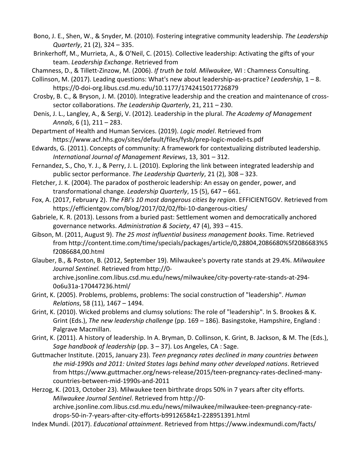- Bono, J. E., Shen, W., & Snyder, M. (2010). Fostering integrative community leadership. *The Leadership Quarterly*, 21 (2), 324 – 335.
- Brinkerhoff, M., Murrieta, A., & O'Neil, C. (2015). Collective leadership: Activating the gifts of your team. *Leadership Exchange*. Retrieved from

Chamness, D., & Tillett-Zinzow, M. (2006). *If truth be told. Milwaukee*, WI : Chamness Consulting.

- Collinson, M. (2017). Leading questions: What's new about leadership-as-practice? *Leadership*, 1 8. https://0-doi-org.libus.csd.mu.edu/10.1177/1742415017726879
- Crosby, B. C., & Bryson, J. M. (2010). Integrative leadership and the creation and maintenance of crosssector collaborations. *The Leadership Quarterly*, 21, 211 – 230.
- Denis, J. L., Langley, A., & Sergi, V. (2012). Leadership in the plural. *The Academy of Management Annals*, 6 (1), 211 – 283.
- Department of Health and Human Services. (2019). *Logic model*. Retrieved from https://www.acf.hhs.gov/sites/default/files/fysb/prep-logic-model-ts.pdf
- Edwards, G. (2011). Concepts of community: A framework for contextualizing distributed leadership. *International Journal of Management Reviews*, 13, 301 – 312.
- Fernandez, S., Cho, Y. J., & Perry, J. L. (2010). Exploring the link between integrated leadership and public sector performance. *The Leadership Quarterly*, 21 (2), 308 – 323.
- Fletcher, J. K. (2004). The paradox of postheroic leadership: An essay on gender, power, and transformational change. *Leadership Quarterly*, 15 (5), 647 – 661.
- Fox, A. (2017, February 2). *The FBI's 10 most dangerous cities by region*. EFFICIENTGOV. Retrieved from https://efficientgov.com/blog/2017/02/02/fbi-10-dangerous-cities/
- Gabriele, K. R. (2013). Lessons from a buried past: Settlement women and democratically anchored governance networks. *Administration & Society*, 47 (4), 393 – 415.
- Gibson, M. (2011, August 9). *The 25 most influential business management books*. Time. Retrieved from http://content.time.com/time/specials/packages/article/0,28804,2086680%5f2086683%5 f2086684,00.html
- Glauber, B., & Poston, B. (2012, September 19). Milwaukee's poverty rate stands at 29.4%. *Milwaukee Journal Sentinel.* Retrieved from http://0-

archive.jsonline.com.libus.csd.mu.edu/news/milwaukee/city-poverty-rate-stands-at-294- 0o6u31a-170447236.html/

- Grint, K. (2005). Problems, problems, problems: The social construction of "leadership". *Human Relations*, 58 (11), 1467 – 1494.
- Grint, K. (2010). Wicked problems and clumsy solutions: The role of "leadership". In S. Brookes & K. Grint (Eds.), *The new leadership challenge* (pp. 169 – 186). Basingstoke, Hampshire, England : Palgrave Macmillan.
- Grint, K. (2011). A history of leadership. In A. Bryman, D. Collinson, K. Grint, B. Jackson, & M. The (Eds.), *Sage handbook of leadership* (pp. 3 – 37). Los Angeles, CA : Sage.
- Guttmacher Institute. (2015, January 23). *Teen pregnancy rates declined in many countries between the mid‐1990s and 2011: United States lags behind many other developed nations*. Retrieved from https://www.guttmacher.org/news-release/2015/teen-pregnancy-rates-declined-manycountries-between-mid-1990s-and-2011

Herzog, K. (2013, October 23). Milwaukee teen birthrate drops 50% in 7 years after city efforts. *Milwaukee Journal Sentinel*. Retrieved from http://0 archive.jsonline.com.libus.csd.mu.edu/news/milwaukee/milwaukee-teen-pregnancy-ratedrops-50-in-7-years-after-city-efforts-b99126584z1-228951391.html

Index Mundi. (2017). *Educational attainment*. Retrieved from https://www.indexmundi.com/facts/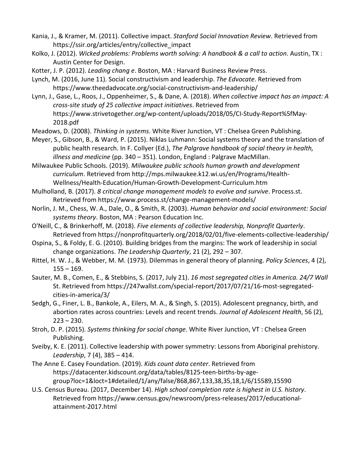- Kania, J., & Kramer, M. (2011). Collective impact. *Stanford Social Innovation Review*. Retrieved from https://ssir.org/articles/entry/collective\_impact
- Kolko, J. (2012). *Wicked problems: Problems worth solving: A handbook & a call to action*. Austin, TX : Austin Center for Design.
- Kotter, J. P. (2012). *Leading chang e*. Boston, MA : Harvard Business Review Press.
- Lynch, M. (2016, June 11). Social constructivism and leadership. *The Edvocate*. Retrieved from https://www.theedadvocate.org/social-constructivism-and-leadership/
- Lynn, J., Gase, L., Roos, J., Oppenheimer, S., & Dane, A. (2018). *When collective impact has an impact: A cross‐site study of 25 collective impact initiatives*. Retrieved from https://www.strivetogether.org/wp-content/uploads/2018/05/CI-Study-Report%5fMay-2018.pdf
- Meadows, D. (2008). *Thinking in systems*. White River Junction, VT : Chelsea Green Publishing.
- Meyer, S., Gibson, B., & Ward, P. (2015). Niklas Luhmann: Social systems theory and the translation of public health research. In F. Collyer (Ed.), *The Palgrave handbook of social theory in health, illness and medicine* (pp. 340 – 351). London, England : Palgrave MacMillan.
- Milwaukee Public Schools. (2019). *Milwaukee public schools human growth and development curriculum*. Retrieved from http://mps.milwaukee.k12.wi.us/en/Programs/Health-Wellness/Health-Education/Human-Growth-Development-Curriculum.htm
- Mulholland, B. (2017). *8 critical change management models to evolve and survive*. Process.st. Retrieved from https://www.process.st/change-management-models/
- Norlin, J. M., Chess, W. A., Dale, O., & Smith, R. (2003). *Human behavior and social environment: Social systems theory*. Boston, MA : Pearson Education Inc.
- O'Neill, C., & Brinkerhoff, M. (2018). *Five elements of collective leadership, Nonprofit Quarterly*. Retrieved from https://nonprofitquarterly.org/2018/02/01/five-elements-collective-leadership/
- Ospina, S., & Foldy, E. G. (2010). Building bridges from the margins: The work of leadership in social change organizations. *The Leadership Quarterly*, 21 (2), 292 – 307.
- Rittel, H. W. J., & Webber, M. M. (1973). Dilemmas in general theory of planning. *Policy Sciences*, 4 (2),  $155 - 169.$
- Sauter, M. B., Comen, E., & Stebbins, S. (2017, July 21). *16 most segregated cities in America. 24/7 Wall* St. Retrieved from https://247wallst.com/special-report/2017/07/21/16-most-segregatedcities-in-america/3/
- Sedgh, G., Finer, L. B., Bankole, A., Eilers, M. A., & Singh, S. (2015). Adolescent pregnancy, birth, and abortion rates across countries: Levels and recent trends. *Journal of Adolescent Health*, 56 (2),  $223 - 230.$
- Stroh, D. P. (2015). *Systems thinking for social change*. White River Junction, VT : Chelsea Green Publishing.
- Sveiby, K. E. (2011). Collective leadership with power symmetry: Lessons from Aboriginal prehistory. *Leadership*, 7 (4), 385 – 414.
- The Anne E. Casey Foundation. (2019). *Kids count data center*. Retrieved from https://datacenter.kidscount.org/data/tables/8125-teen-births-by-agegroup?loc=1&loct=1#detailed/1/any/false/868,867,133,38,35,18,1/6/15589,15590
- U.S. Census Bureau. (2017, December 14). *High school completion rate is highest in U.S. history*. Retrieved from https://www.census.gov/newsroom/press-releases/2017/educationalattainment-2017.html